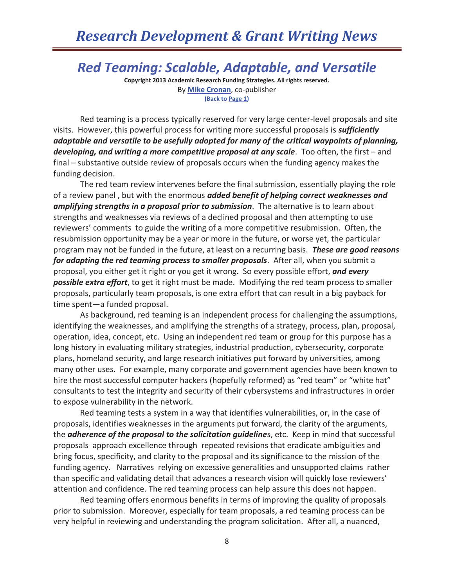### *Red Teaming: Scalable, Adaptable, and Versatile*

**Copyright 2013 Academic Research Funding Strategies. All rights reserved.**  By **Mike Cronan**, co-publisher **(Back to Page 1)** 

 Red teaming is a process typically reserved for very large center-level proposals and site visits. However, this powerful process for writing more successful proposals is *sufficiently adaptable and versatile to be usefully adopted for many of the critical waypoints of planning, developing, and writing a more competitive proposal at any scale*. Too often, the first – and final – substantive outside review of proposals occurs when the funding agency makes the funding decision.

 The red team review intervenes before the final submission, essentially playing the role of a review panel , but with the enormous *added benefit of helping correct weaknesses and amplifying strengths in a proposal prior to submission*. The alternative is to learn about strengths and weaknesses via reviews of a declined proposal and then attempting to use reviewers' comments to guide the writing of a more competitive resubmission. Often, the resubmission opportunity may be a year or more in the future, or worse yet, the particular program may not be funded in the future, at least on a recurring basis. *These are good reasons for adapting the red teaming process to smaller proposals*. After all, when you submit a proposal, you either get it right or you get it wrong. So every possible effort, *and every possible extra effort*, to get it right must be made. Modifying the red team process to smaller proposals, particularly team proposals, is one extra effort that can result in a big payback for time spent—a funded proposal.

 As background, red teaming is an independent process for challenging the assumptions, identifying the weaknesses, and amplifying the strengths of a strategy, process, plan, proposal, operation, idea, concept, etc. Using an independent red team or group for this purpose has a long history in evaluating military strategies, industrial production, cybersecurity, corporate plans, homeland security, and large research initiatives put forward by universities, among many other uses. For example, many corporate and government agencies have been known to hire the most successful computer hackers (hopefully reformed) as "red team" or "white hat" consultants to test the integrity and security of their cybersystems and infrastructures in order to expose vulnerability in the network.

 Red teaming tests a system in a way that identifies vulnerabilities, or, in the case of proposals, identifies weaknesses in the arguments put forward, the clarity of the arguments, the *adherence of the proposal to the solicitation guideline*s, etc. Keep in mind that successful proposals approach excellence through repeated revisions that eradicate ambiguities and bring focus, specificity, and clarity to the proposal and its significance to the mission of the funding agency. Narratives relying on excessive generalities and unsupported claims rather than specific and validating detail that advances a research vision will quickly lose reviewers' attention and confidence. The red teaming process can help assure this does not happen.

 Red teaming offers enormous benefits in terms of improving the quality of proposals prior to submission. Moreover, especially for team proposals, a red teaming process can be very helpful in reviewing and understanding the program solicitation. After all, a nuanced,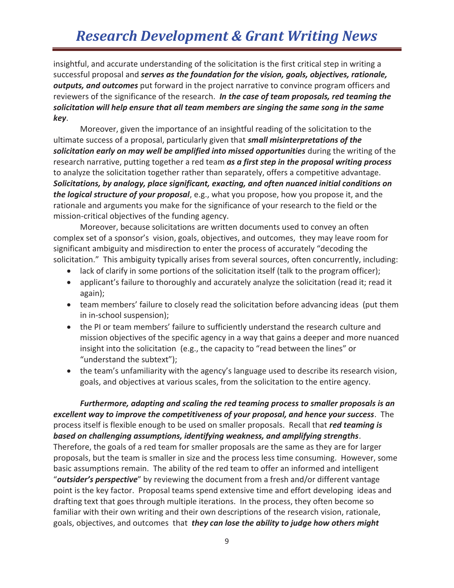## *Research Development & Grant Writing News*

insightful, and accurate understanding of the solicitation is the first critical step in writing a successful proposal and *serves as the foundation for the vision, goals, objectives, rationale, outputs, and outcomes* put forward in the project narrative to convince program officers and reviewers of the significance of the research. *In the case of team proposals, red teaming the solicitation will help ensure that all team members are singing the same song in the same key*.

 Moreover, given the importance of an insightful reading of the solicitation to the ultimate success of a proposal, particularly given that *small misinterpretations of the solicitation early on may well be amplified into missed opportunities* during the writing of the research narrative, putting together a red team *as a first step in the proposal writing process* to analyze the solicitation together rather than separately, offers a competitive advantage. *Solicitations, by analogy, place significant, exacting, and often nuanced initial conditions on the logical structure of your proposal*, e.g., what you propose, how you propose it, and the rationale and arguments you make for the significance of your research to the field or the mission-critical objectives of the funding agency.

Moreover, because solicitations are written documents used to convey an often complex set of a sponsor's vision, goals, objectives, and outcomes, they may leave room for significant ambiguity and misdirection to enter the process of accurately "decoding the solicitation." This ambiguity typically arises from several sources, often concurrently, including:

- $\bullet$  lack of clarify in some portions of the solicitation itself (talk to the program officer);
- applicant's failure to thoroughly and accurately analyze the solicitation (read it; read it again);
- team members' failure to closely read the solicitation before advancing ideas (put them in in-school suspension);
- the PI or team members' failure to sufficiently understand the research culture and mission objectives of the specific agency in a way that gains a deeper and more nuanced insight into the solicitation (e.g., the capacity to "read between the lines" or "understand the subtext");
- the team's unfamiliarity with the agency's language used to describe its research vision, goals, and objectives at various scales, from the solicitation to the entire agency.

*Furthermore, adapting and scaling the red teaming process to smaller proposals is an excellent way to improve the competitiveness of your proposal, and hence your success*. The process itself is flexible enough to be used on smaller proposals. Recall that *red teaming is based on challenging assumptions, identifying weakness, and amplifying strengths*. Therefore, the goals of a red team for smaller proposals are the same as they are for larger proposals, but the team is smaller in size and the process less time consuming. However, some basic assumptions remain. The ability of the red team to offer an informed and intelligent "*outsider's perspective*" by reviewing the document from a fresh and/or different vantage point is the key factor. Proposal teams spend extensive time and effort developing ideas and drafting text that goes through multiple iterations. In the process, they often become so familiar with their own writing and their own descriptions of the research vision, rationale, goals, objectives, and outcomes that *they can lose the ability to judge how others might*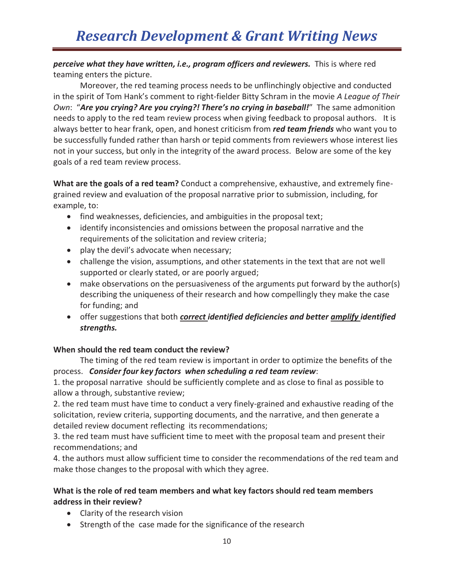*perceive what they have written, i.e., program officers and reviewers.* This is where red teaming enters the picture.

Moreover, the red teaming process needs to be unflinchingly objective and conducted in the spirit of Tom Hank's comment to right-fielder Bitty Schram in the movie *A League of Their Own*: "*Are you crying? Are you crying?! There's no crying in baseball!*" The same admonition needs to apply to the red team review process when giving feedback to proposal authors. It is always better to hear frank, open, and honest criticism from *red team friends* who want you to be successfully funded rather than harsh or tepid comments from reviewers whose interest lies not in your success, but only in the integrity of the award process. Below are some of the key goals of a red team review process.

**What are the goals of a red team?** Conduct a comprehensive, exhaustive, and extremely finegrained review and evaluation of the proposal narrative prior to submission, including, for example, to:

- find weaknesses, deficiencies, and ambiguities in the proposal text;
- identify inconsistencies and omissions between the proposal narrative and the requirements of the solicitation and review criteria;
- play the devil's advocate when necessary;
- challenge the vision, assumptions, and other statements in the text that are not well supported or clearly stated, or are poorly argued;
- make observations on the persuasiveness of the arguments put forward by the author(s) describing the uniqueness of their research and how compellingly they make the case for funding; and
- **•** offer suggestions that both *correct identified deficiencies and better amplify identified strengths.*

### **When should the red team conduct the review?**

 The timing of the red team review is important in order to optimize the benefits of the process. *Consider four key factors when scheduling a red team review*:

1. the proposal narrative should be sufficiently complete and as close to final as possible to allow a through, substantive review;

2. the red team must have time to conduct a very finely-grained and exhaustive reading of the solicitation, review criteria, supporting documents, and the narrative, and then generate a detailed review document reflecting its recommendations;

3. the red team must have sufficient time to meet with the proposal team and present their recommendations; and

4. the authors must allow sufficient time to consider the recommendations of the red team and make those changes to the proposal with which they agree.

#### **What is the role of red team members and what key factors should red team members address in their review?**

- Clarity of the research vision
- Strength of the case made for the significance of the research